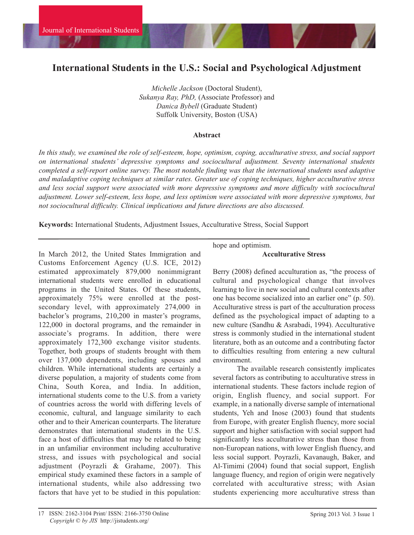# **International Students in the U.S.: Social and Psychological Adjustment**

*Michelle Jackson* (Doctoral Student), *Sukanya Ray, PhD,* (Associate Professor) and *Danica Bybell* (Graduate Student) Suffolk University, Boston (USA)

#### **Abstract**

*In this study, we examined the role of self-esteem, hope, optimism, coping, acculturative stress, and social support on international students' depressive symptoms and sociocultural adjustment. Seventy international students completed a self-report online survey. The most notable finding was that the international students used adaptive and maladaptive coping techniques at similar rates. Greater use of coping techniques, higher acculturative stress and less social support were associated with more depressive symptoms and more difficulty with sociocultural adjustment. Lower self-esteem, less hope, and less optimism were associated with more depressive symptoms, but not sociocultural difficulty. Clinical implications and future directions are also discussed.* 

**Keywords:** International Students, Adjustment Issues, Acculturative Stress, Social Support

In March 2012, the United States Immigration and Customs Enforcement Agency (U.S. ICE, 2012) estimated approximately 879,000 nonimmigrant international students were enrolled in educational programs in the United States. Of these students, approximately 75% were enrolled at the postsecondary level, with approximately 274,000 in bachelor's programs, 210,200 in master's programs, 122,000 in doctoral programs, and the remainder in associate's programs. In addition, there were approximately 172,300 exchange visitor students. Together, both groups of students brought with them over 137,000 dependents, including spouses and children. While international students are certainly a diverse population, a majority of students come from China, South Korea, and India. In addition, international students come to the U.S. from a variety of countries across the world with differing levels of economic, cultural, and language similarity to each other and to their American counterparts. The literature demonstrates that international students in the U.S. face a host of difficulties that may be related to being in an unfamiliar environment including acculturative stress, and issues with psychological and social adjustment (Poyrazli & Grahame, 2007). This empirical study examined these factors in a sample of international students, while also addressing two factors that have yet to be studied in this population:

hope and optimism.

## **Acculturative Stress**

Berry (2008) defined acculturation as, "the process of cultural and psychological change that involves learning to live in new social and cultural contexts after one has become socialized into an earlier one" (p. 50). Acculturative stress is part of the acculturation process defined as the psychological impact of adapting to a new culture (Sandhu & Asrabadi, 1994). Acculturative stress is commonly studied in the international student literature, both as an outcome and a contributing factor to difficulties resulting from entering a new cultural environment.

The available research consistently implicates several factors as contributing to acculturative stress in international students. These factors include region of origin, English fluency, and social support. For example, in a nationally diverse sample of international students, Yeh and Inose (2003) found that students from Europe, with greater English fluency, more social support and higher satisfaction with social support had significantly less acculturative stress than those from non-European nations, with lower English fluency, and less social support. Poyrazli, Kavanaugh, Baker, and Al-Timimi (2004) found that social support, English language fluency, and region of origin were negatively correlated with acculturative stress; with Asian students experiencing more acculturative stress than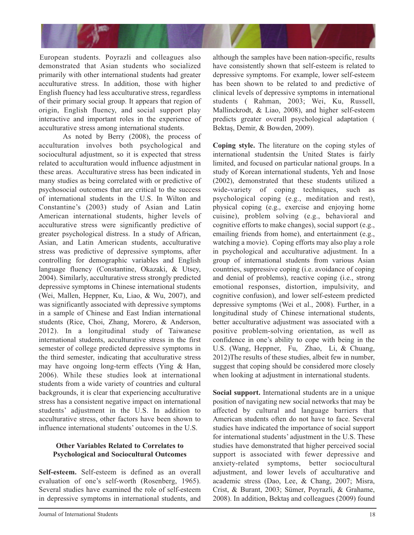

European students. Poyrazli and colleagues also demonstrated that Asian students who socialized primarily with other international students had greater acculturative stress. In addition, those with higher English fluency had less acculturative stress, regardless of their primary social group. It appears that region of origin, English fluency, and social support play interactive and important roles in the experience of acculturative stress among international students.

As noted by Berry (2008), the process of acculturation involves both psychological and sociocultural adjustment, so it is expected that stress related to acculturation would influence adjustment in these areas. Acculturative stress has been indicated in many studies as being correlated with or predictive of psychosocial outcomes that are critical to the success of international students in the U.S. In Wilton and Constantine's (2003) study of Asian and Latin American international students, higher levels of acculturative stress were significantly predictive of greater psychological distress. In a study of African, Asian, and Latin American students, acculturative stress was predictive of depressive symptoms, after controlling for demographic variables and English language fluency (Constantine, Okazaki, & Utsey, 2004). Similarly, acculturative stress strongly predicted depressive symptoms in Chinese international students (Wei, Mallen, Heppner, Ku, Liao, & Wu, 2007), and was significantly associated with depressive symptoms in a sample of Chinese and East Indian international students (Rice, Choi, Zhang, Morero, & Anderson, 2012). In a longitudinal study of Taiwanese international students, acculturative stress in the first semester of college predicted depressive symptoms in the third semester, indicating that acculturative stress may have ongoing long-term effects (Ying & Han, 2006). While these studies look at international students from a wide variety of countries and cultural backgrounds, it is clear that experiencing acculturative stress has a consistent negative impact on international students' adjustment in the U.S. In addition to acculturative stress, other factors have been shown to influence international students' outcomes in the U.S.

# **Other Variables Related to Correlates to Psychological and Sociocultural Outcomes**

**Self-esteem.** Self-esteem is defined as an overall evaluation of one's self-worth (Rosenberg, 1965). Several studies have examined the role of self-esteem in depressive symptoms in international students, and although the samples have been nation-specific, results have consistently shown that self-esteem is related to depressive symptoms. For example, lower self-esteem has been shown to be related to and predictive of clinical levels of depressive symptoms in international students ( Rahman, 2003; Wei, Ku, Russell, Mallinckrodt, & Liao, 2008), and higher self-esteem predicts greater overall psychological adaptation ( Bektaş, Demir, & Bowden, 2009).

**Coping style.** The literature on the coping styles of international studentsin the United States is fairly limited, and focused on particular national groups. In a study of Korean international students, Yeh and Inose (2002), demonstrated that these students utilized a wide-variety of coping techniques, such as psychological coping (e.g., meditation and rest), physical coping (e.g., exercise and enjoying home cuisine), problem solving (e.g., behavioral and cognitive efforts to make changes), social support (e.g., emailing friends from home), and entertainment (e.g., watching a movie). Coping efforts may also play a role in psychological and acculturative adjustment. In a group of international students from various Asian countries, suppressive coping (i.e. avoidance of coping and denial of problems), reactive coping (i.e., strong emotional responses, distortion, impulsivity, and cognitive confusion), and lower self-esteem predicted depressive symptoms (Wei et al., 2008). Further, in a longitudinal study of Chinese international students, better acculturative adjustment was associated with a positive problem-solving orientation, as well as confidence in one's ability to cope with being in the U.S. (Wang, Heppner, Fu, Zhao, Li, & Chuang, 2012)The results of these studies, albeit few in number, suggest that coping should be considered more closely when looking at adjustment in international students.

**Social support.** International students are in a unique position of navigating new social networks that may be affected by cultural and language barriers that American students often do not have to face. Several studies have indicated the importance of social support for international students' adjustment in the U.S. These studies have demonstrated that higher perceived social support is associated with fewer depressive and anxiety-related symptoms, better sociocultural adjustment, and lower levels of acculturative and academic stress (Dao, Lee, & Chang, 2007; Misra, Crist, & Burant, 2003; Sümer, Poyrazli, & Grahame, 2008). In addition, Bektaş and colleagues (2009) found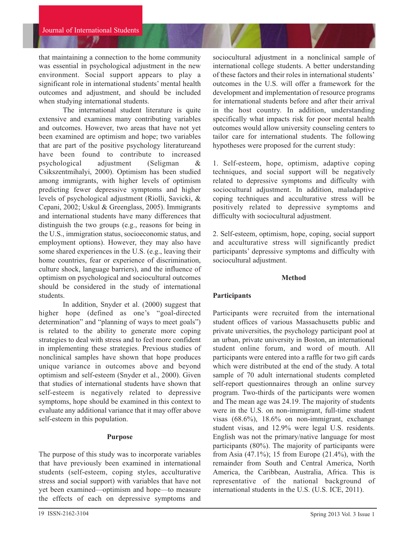that maintaining a connection to the home community was essential in psychological adjustment in the new environment. Social support appears to play a significant role in international students' mental health outcomes and adjustment, and should be included when studying international students.

The international student literature is quite extensive and examines many contributing variables and outcomes. However, two areas that have not yet been examined are optimism and hope; two variables that are part of the positive psychology literatureand have been found to contribute to increased psychological adjustment (Seligman & Csikszentmihalyi, 2000). Optimism has been studied among immigrants, with higher levels of optimism predicting fewer depressive symptoms and higher levels of psychological adjustment (Riolli, Savicki, & Cepani, 2002; Uskul & Greenglass, 2005). Immigrants and international students have many differences that distinguish the two groups (e.g., reasons for being in the U.S., immigration status, socioeconomic status, and employment options). However, they may also have some shared experiences in the U.S. (e.g., leaving their home countries, fear or experience of discrimination, culture shock, language barriers), and the influence of optimism on psychological and sociocultural outcomes should be considered in the study of international students.

In addition, Snyder et al. (2000) suggest that higher hope (defined as one's "goal-directed determination" and "planning of ways to meet goals") is related to the ability to generate more coping strategies to deal with stress and to feel more confident in implementing these strategies. Previous studies of nonclinical samples have shown that hope produces unique variance in outcomes above and beyond optimism and self-esteem (Snyder et al., 2000). Given that studies of international students have shown that self-esteem is negatively related to depressive symptoms, hope should be examined in this context to evaluate any additional variance that it may offer above self-esteem in this population.

#### **Purpose**

The purpose of this study was to incorporate variables that have previously been examined in international students (self-esteem, coping styles, acculturative stress and social support) with variables that have not yet been examined—optimism and hope—to measure the effects of each on depressive symptoms and

sociocultural adjustment in a nonclinical sample of international college students. A better understanding of these factors and their roles in international students' outcomes in the U.S. will offer a framework for the development and implementation of resource programs for international students before and after their arrival in the host country. In addition, understanding specifically what impacts risk for poor mental health outcomes would allow university counseling centers to tailor care for international students. The following hypotheses were proposed for the current study:

1. Self-esteem, hope, optimism, adaptive coping techniques, and social support will be negatively related to depressive symptoms and difficulty with sociocultural adjustment. In addition, maladaptive coping techniques and acculturative stress will be positively related to depressive symptoms and difficulty with sociocultural adjustment.

2. Self-esteem, optimism, hope, coping, social support and acculturative stress will significantly predict participants' depressive symptoms and difficulty with sociocultural adjustment.

## **Method**

## **Participants**

Participants were recruited from the international student offices of various Massachusetts public and private universities, the psychology participant pool at an urban, private university in Boston, an international student online forum, and word of mouth. All participants were entered into a raffle for two gift cards which were distributed at the end of the study. A total sample of 70 adult international students completed self-report questionnaires through an online survey program. Two-thirds of the participants were women and The mean age was 24.19. The majority of students were in the U.S. on non-immigrant, full-time student visas (68.6%), 18.6% on non-immigrant, exchange student visas, and 12.9% were legal U.S. residents. English was not the primary/native language for most participants (80%). The majority of participants were from Asia  $(47.1\%)$ ; 15 from Europe  $(21.4\%)$ , with the remainder from South and Central America, North America, the Caribbean, Australia, Africa. This is representative of the national background of international students in the U.S. (U.S. ICE, 2011).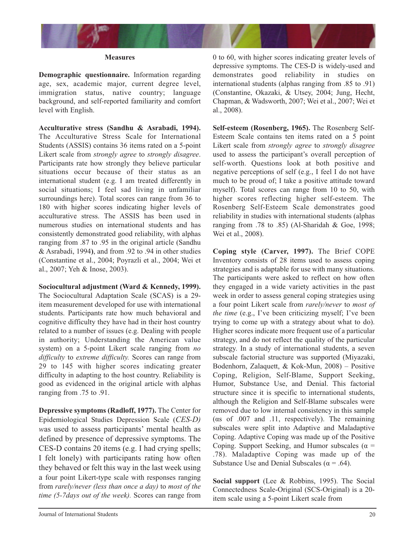

#### **Measures**

**Demographic questionnaire.** Information regarding age, sex, academic major, current degree level, immigration status, native country; language background, and self-reported familiarity and comfort level with English.

**Acculturative stress (Sandhu & Asrabadi, 1994).** The Acculturative Stress Scale for International Students (ASSIS) contains 36 items rated on a 5-point Likert scale from *strongly agree* to *strongly disagree*. Participants rate how strongly they believe particular situations occur because of their status as an international student (e.g. I am treated differently in social situations; I feel sad living in unfamiliar surroundings here). Total scores can range from 36 to 180 with higher scores indicating higher levels of acculturative stress. The ASSIS has been used in numerous studies on international students and has consistently demonstrated good reliability, with alphas ranging from .87 to .95 in the original article (Sandhu & Asrabadi, 1994**)**, and from .92 to .94 in other studies (Constantine et al., 2004; Poyrazli et al., 2004; Wei et al., 2007; Yeh & Inose, 2003).

**Sociocultural adjustment (Ward & Kennedy, 1999).**

The Sociocultural Adaptation Scale (SCAS) is a 29 item measurement developed for use with international students. Participants rate how much behavioral and cognitive difficulty they have had in their host country related to a number of issues (e.g. Dealing with people in authority; Understanding the American value system) on a 5-point Likert scale ranging from *no difficulty* to *extreme difficulty.* Scores can range from 29 to 145 with higher scores indicating greater difficulty in adapting to the host country. Reliability is good as evidenced in the original article with alphas ranging from .75 to .91.

**Depressive symptoms (Radloff, 1977).** The Center for Epidemiological Studies Depression Scale (*CES-D) w*as used to assess participants' mental health as defined by presence of depressive symptoms. The CES-D contains 20 items (e.g. I had crying spells; I felt lonely) with participants rating how often they behaved or felt this way in the last week using a four point Likert-type scale with responses ranging from *rarely/never (less than once a day)* to *most of the time (5-7days out of the week).* Scores can range from

0 to 60, with higher scores indicating greater levels of depressive symptoms. The CES-D is widely-used and demonstrates good reliability in studies on international students (alphas ranging from .85 to .91) (Constantine, Okazaki, & Utsey, 2004; Jung, Hecht, Chapman, & Wadsworth, 2007; Wei et al., 2007; Wei et al., 2008).

**Self-esteem (Rosenberg, 1965).** The Rosenberg Self-Esteem Scale contains ten items rated on a 5 point Likert scale from *strongly agree* to *strongly disagree* used to assess the participant's overall perception of self-worth. Questions look at both positive and negative perceptions of self (e.g., I feel I do not have much to be proud of; I take a positive attitude toward myself). Total scores can range from 10 to 50, with higher scores reflecting higher self-esteem. The Rosenberg Self-Esteem Scale demonstrates good reliability in studies with international students (alphas ranging from .78 to .85) (Al-Sharidah & Goe, 1998; Wei et al., 2008).

**Coping style (Carver, 1997).** The Brief COPE Inventory consists of 28 items used to assess coping strategies and is adaptable for use with many situations. The participants were asked to reflect on how often they engaged in a wide variety activities in the past week in order to assess general coping strategies using a four point Likert scale from *rarely/never* to *most of the time* (e.g., I've been criticizing myself; I've been trying to come up with a strategy about what to do). Higher scores indicate more frequent use of a particular strategy, and do not reflect the quality of the particular strategy. In a study of international students, a seven subscale factorial structure was supported (Miyazaki, Bodenhorn, Zalaquett, & Kok-Mun, 2008) – Positive Coping, Religion, Self-Blame, Support Seeking, Humor, Substance Use, and Denial. This factorial structure since it is specific to international students, although the Religion and Self-Blame subscales were removed due to low internal consistency in this sample (αs of .007 and .11, respectively). The remaining subscales were split into Adaptive and Maladaptive Coping. Adaptive Coping was made up of the Positive Coping. Support Seeking, and Humor subscales ( $\alpha$  = .78). Maladaptive Coping was made up of the Substance Use and Denial Subscales ( $\alpha$  = .64).

**Social support** (Lee & Robbins, 1995). The Social Connectedness Scale-Original (SCS-Original) is a 20 item scale using a 5-point Likert scale from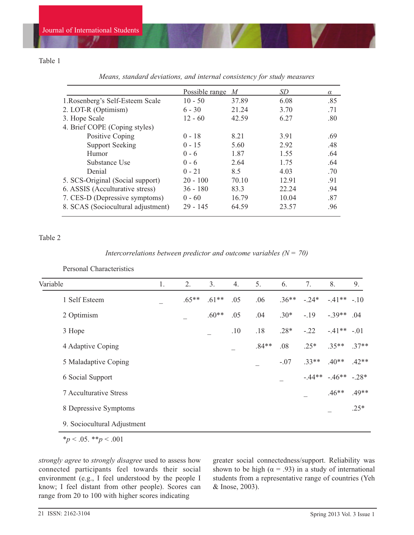# Table 1

|                                    | Possible range $M$ |       | SD    | $\alpha$ |
|------------------------------------|--------------------|-------|-------|----------|
| 1. Rosenberg's Self-Esteem Scale   | $10 - 50$          | 37.89 | 6.08  | .85      |
| 2. LOT-R (Optimism)                | $6 - 30$           | 21.24 | 3.70  | .71      |
| 3. Hope Scale                      | $12 - 60$          | 42.59 | 6.27  | .80      |
| 4. Brief COPE (Coping styles)      |                    |       |       |          |
| Positive Coping                    | $0 - 18$           | 8.21  | 3.91  | .69      |
| <b>Support Seeking</b>             | $0 - 15$           | 5.60  | 2.92  | .48      |
| Humor                              | $0 - 6$            | 1.87  | 1.55  | .64      |
| Substance Use                      | $0 - 6$            | 2.64  | 1.75  | .64      |
| Denial                             | $0 - 21$           | 8.5   | 4.03  | .70      |
| 5. SCS-Original (Social support)   | $20 - 100$         | 70.10 | 12.91 | .91      |
| 6. ASSIS (Acculturative stress)    | $36 - 180$         | 83.3  | 22.24 | .94      |
| 7. CES-D (Depressive symptoms)     | $0 - 60$           | 16.79 | 10.04 | .87      |
| 8. SCAS (Sociocultural adjustment) | $29 - 145$         | 64.59 | 23.57 | .96      |

*Means, standard deviations, and internal consistency for study measures*

## Table 2

#### *Intercorrelations between predictor and outcome variables (* $N = 70$ *)*

Personal Characteristics

| Variable                      | 1. | 2.      | 3.      | 4.  | 5.      | 6.      | 7.      | 8.                  | 9.      |
|-------------------------------|----|---------|---------|-----|---------|---------|---------|---------------------|---------|
| 1 Self Esteem                 |    | $.65**$ | $.61**$ | .05 | .06     | $.36**$ | $-.24*$ | $-.41**-.10$        |         |
| 2 Optimism                    |    |         | $.60**$ | .05 | .04     | $.30*$  | $-.19$  | $-.39**$            | .04     |
| 3 Hope                        |    |         |         | .10 | .18     | $.28*$  | $-.22$  | $-.41**-.01$        |         |
| 4 Adaptive Coping             |    |         |         |     | $.84**$ | .08     | $.25*$  | $.35**$             | $.37**$ |
| 5 Maladaptive Coping          |    |         |         |     |         | $-.07$  | $.33**$ | $.40**$             | $.42**$ |
| 6 Social Support              |    |         |         |     |         |         |         | $-.44**-.46**-.28*$ |         |
| <b>7 Acculturative Stress</b> |    |         |         |     |         |         | —       | $.46**$             | $.49**$ |
| 8 Depressive Symptoms         |    |         |         |     |         |         |         |                     | $.25*$  |
| 9. Sociocultural Adjustment   |    |         |         |     |         |         |         |                     |         |

 $**p* < .05.$   $**p* < .001$ 

*strongly agree* to *strongly disagree* used to assess how connected participants feel towards their social environment (e.g., I feel understood by the people I know; I feel distant from other people). Scores can range from 20 to 100 with higher scores indicating

greater social connectedness/support. Reliability was shown to be high ( $\alpha$  = .93) in a study of international students from a representative range of countries (Yeh & Inose, 2003).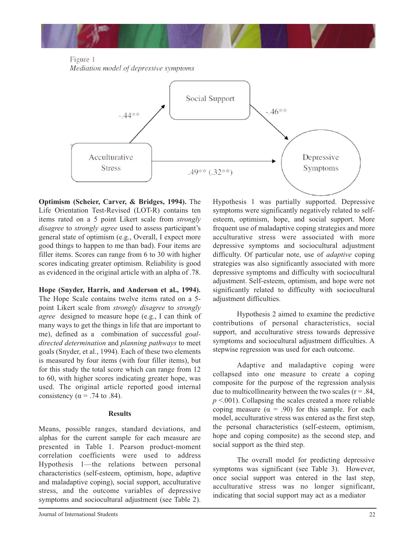

Figure 1 Mediation model of depressive symptoms



**Optimism (Scheier, Carver, & Bridges, 1994).** The Life Orientation Test-Revised (LOT-R) contains ten items rated on a 5 point Likert scale from *strongly disagree* to *strongly agree* used to assess participant's general state of optimism (e.g., Overall, I expect more good things to happen to me than bad). Four items are filler items. Scores can range from 6 to 30 with higher scores indicating greater optimism. Reliability is good as evidenced in the original article with an alpha of .78.

**Hope (Snyder, Harris, and Anderson et al., 1994).** The Hope Scale contains twelve items rated on a 5 point Likert scale from *strongly disagree* to *strongly agree* designed to measure hope (e.g., I can think of many ways to get the things in life that are important to me), defined as a combination of successful *goaldirected determination* and *planning pathways* to meet goals (Snyder, et al., 1994). Each of these two elements is measured by four items (with four filler items), but for this study the total score which can range from 12 to 60, with higher scores indicating greater hope, was used. The original article reported good internal consistency ( $\alpha$  = .74 to .84).

## **Results**

Means, possible ranges, standard deviations, and alphas for the current sample for each measure are presented in Table 1. Pearson product-moment correlation coefficients were used to address Hypothesis 1—the relations between personal characteristics (self-esteem, optimism, hope, adaptive and maladaptive coping), social support, acculturative stress, and the outcome variables of depressive symptoms and sociocultural adjustment (see Table 2).

Hypothesis 1 was partially supported. Depressive symptoms were significantly negatively related to selfesteem, optimism, hope, and social support. More frequent use of maladaptive coping strategies and more acculturative stress were associated with more depressive symptoms and sociocultural adjustment difficulty. Of particular note, use of *adaptive* coping strategies was also significantly associated with more depressive symptoms and difficulty with sociocultural adjustment. Self-esteem, optimism, and hope were not significantly related to difficulty with sociocultural adjustment difficulties.

Hypothesis 2 aimed to examine the predictive contributions of personal characteristics, social support, and acculturative stress towards depressive symptoms and sociocultural adjustment difficulties. A stepwise regression was used for each outcome.

Adaptive and maladaptive coping were collapsed into one measure to create a coping composite for the purpose of the regression analysis due to multicollinearity between the two scales ( $r = .84$ ,  $p$  <.001). Collapsing the scales created a more reliable coping measure  $(\alpha = .90)$  for this sample. For each model, acculturative stress was entered as the first step, the personal characteristics (self-esteem, optimism, hope and coping composite) as the second step, and social support as the third step.

The overall model for predicting depressive symptoms was significant (see Table 3). However, once social support was entered in the last step, acculturative stress was no longer significant, indicating that social support may act as a mediator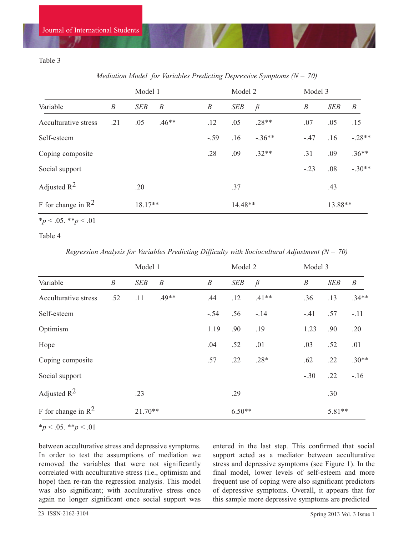# Table 3

*Mediation Model for Variables Predicting Depressive Symptoms (N = 70)* 

|                            |                  | Model 1    |                  |                  | Model 2    |          |                  | Model 3    |                  |  |
|----------------------------|------------------|------------|------------------|------------------|------------|----------|------------------|------------|------------------|--|
| Variable                   | $\boldsymbol{B}$ | <b>SEB</b> | $\boldsymbol{B}$ | $\boldsymbol{B}$ | <b>SEB</b> | $\beta$  | $\boldsymbol{B}$ | <b>SEB</b> | $\boldsymbol{B}$ |  |
| Acculturative stress       | .21              | .05        | $.46**$          | .12              | .05        | $.28**$  | .07              | .05        | .15              |  |
| Self-esteem                |                  |            |                  | $-.59$           | .16        | $-.36**$ | $-.47$           | .16        | $-.28**$         |  |
| Coping composite           |                  |            |                  | .28              | .09        | $.32**$  | .31              | .09        | $.36**$          |  |
| Social support             |                  |            |                  |                  |            |          | $-.23$           | .08        | $-.30**$         |  |
| Adjusted $R^2$             |                  | .20        |                  |                  | .37        |          |                  | .43        |                  |  |
| F for change in $R^2$      |                  |            | 18.17**          |                  |            | 14.48**  |                  | 13.88**    |                  |  |
| * $p < .05$ . ** $p < .01$ |                  |            |                  |                  |            |          |                  |            |                  |  |

Table 4

*Regression Analysis for Variables Predicting Difficulty with Sociocultural Adjustment (N = 70)* 

|                                |                  | Model 1    |                  |  | Model 2          |            | Model 3 |                  |            |                  |
|--------------------------------|------------------|------------|------------------|--|------------------|------------|---------|------------------|------------|------------------|
| Variable                       | $\boldsymbol{B}$ | <b>SEB</b> | $\boldsymbol{B}$ |  | $\boldsymbol{B}$ | <b>SEB</b> | $\beta$ | $\boldsymbol{B}$ | <b>SEB</b> | $\boldsymbol{B}$ |
| Acculturative stress           | .52              | .11        | $.49**$          |  | .44              | .12        | $.41**$ | .36              | .13        | $.34**$          |
| Self-esteem                    |                  |            |                  |  | $-.54$           | .56        | $-.14$  | $-.41$           | .57        | $-.11$           |
| Optimism                       |                  |            |                  |  | 1.19             | .90        | .19     | 1.23             | .90        | .20              |
| Hope                           |                  |            |                  |  | .04              | .52        | .01     | .03              | .52        | .01              |
| Coping composite               |                  |            |                  |  | .57              | .22        | $.28*$  | .62              | .22        | $.30**$          |
| Social support                 |                  |            |                  |  |                  |            |         | $-.30$           | .22        | $-16$            |
| Adjusted $R^2$                 |                  | .23        |                  |  |                  | .29        |         |                  | .30        |                  |
| F for change in $\mathbb{R}^2$ |                  | $21.70**$  |                  |  |                  | $6.50**$   |         |                  | 5.81**     |                  |

\**p* < .05. \*\**p* < .01

between acculturative stress and depressive symptoms. In order to test the assumptions of mediation we removed the variables that were not significantly correlated with acculturative stress (i.e., optimism and hope) then re-ran the regression analysis. This model was also significant; with acculturative stress once again no longer significant once social support was entered in the last step. This confirmed that social support acted as a mediator between acculturative stress and depressive symptoms (see Figure 1). In the final model, lower levels of self-esteem and more frequent use of coping were also significant predictors of depressive symptoms. Overall, it appears that for this sample more depressive symptoms are predicted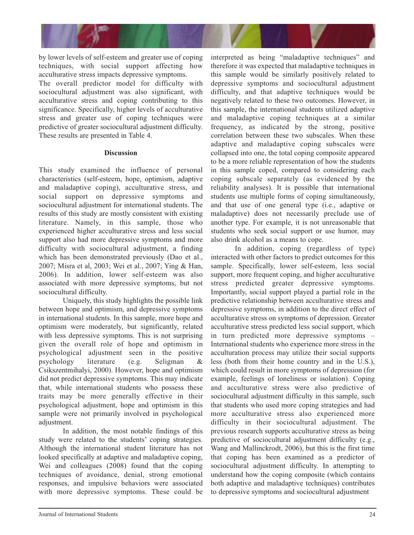

by lower levels of self-esteem and greater use of coping techniques, with social support affecting how acculturative stress impacts depressive symptoms. The overall predictor model for difficulty with sociocultural adjustment was also significant, with acculturative stress and coping contributing to this significance. Specifically, higher levels of acculturative stress and greater use of coping techniques were predictive of greater sociocultural adjustment difficulty. These results are presented in Table 4.

#### **Discussion**

This study examined the influence of personal characteristics (self-esteem, hope, optimism, adaptive and maladaptive coping), acculturative stress, and social support on depressive symptoms and sociocultural adjustment for international students. The results of this study are mostly consistent with existing literature. Namely, in this sample, those who experienced higher acculturative stress and less social support also had more depressive symptoms and more difficulty with sociocultural adjustment, a finding which has been demonstrated previously (Dao et al., 2007; Misra et al, 2003; Wei et al., 2007; Ying & Han, 2006). In addition, lower self-esteem was also associated with more depressive symptoms, but not sociocultural difficulty.

Uniquely, this study highlights the possible link between hope and optimism, and depressive symptoms in international students. In this sample, more hope and optimism were moderately, but significantly, related with less depressive symptoms. This is not surprising given the overall role of hope and optimism in psychological adjustment seen in the positive psychology literature (e.g. Seligman & Csikszentmihalyi, 2000). However, hope and optimism did not predict depressive symptoms. This may indicate that, while international students who possess these traits may be more generally effective in their psychological adjustment, hope and optimism in this sample were not primarily involved in psychological adjustment.

In addition, the most notable findings of this study were related to the students' coping strategies. Although the international student literature has not looked specifically at adaptive and maladaptive coping, Wei and colleagues (2008) found that the coping techniques of avoidance, denial, strong emotional responses, and impulsive behaviors were associated with more depressive symptoms. These could be interpreted as being "maladaptive techniques" and therefore it was expected that maladaptive techniques in this sample would be similarly positively related to depressive symptoms and sociocultural adjustment difficulty, and that adaptive techniques would be negatively related to these two outcomes. However, in this sample, the international students utilized adaptive and maladaptive coping techniques at a similar frequency, as indicated by the strong, positive correlation between these two subscales. When these adaptive and maladaptive coping subscales were collapsed into one, the total coping composite appeared to be a more reliable representation of how the students in this sample coped, compared to considering each coping subscale separately (as evidenced by the reliability analyses). It is possible that international students use multiple forms of coping simultaneously, and that use of one general type (i.e., adaptive or maladaptive) does not necessarily preclude use of another type. For example, it is not unreasonable that students who seek social support or use humor, may also drink alcohol as a means to cope.

In addition, coping (regardless of type) interacted with other factors to predict outcomes for this sample. Specifically, lower self-esteem, less social support, more frequent coping, and higher acculturative stress predicted greater depressive symptoms. Importantly, social support played a partial role in the predictive relationship between acculturative stress and depressive symptoms, in addition to the direct effect of acculturative stress on symptoms of depression. Greater acculturative stress predicted less social support, which in turn predicted more depressive symptoms – International students who experience more stress in the acculturation process may utilize their social supports less (both from their home country and in the U.S.), which could result in more symptoms of depression (for example, feelings of loneliness or isolation). Coping and acculturative stress were also predictive of sociocultural adjustment difficulty in this sample, such that students who used more coping strategies and had more acculturative stress also experienced more difficulty in their sociocultural adjustment. The previous research supports acculturative stress as being predictive of sociocultural adjustment difficulty (e.g., Wang and Mallinckrodt, 2006), but this is the first time that coping has been examined as a predictor of sociocultural adjustment difficulty. In attempting to understand how the coping composite (which contains both adaptive and maladaptive techniques) contributes to depressive symptoms and sociocultural adjustment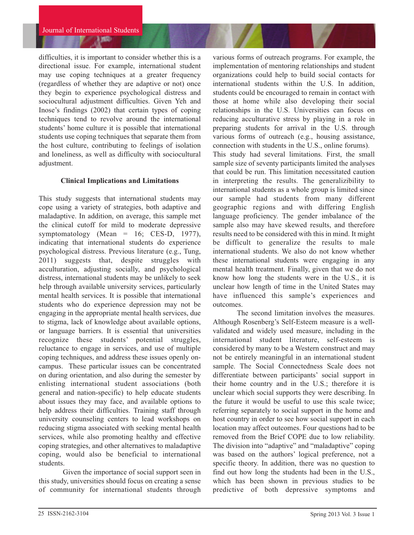difficulties, it is important to consider whether this is a directional issue. For example, international student may use coping techniques at a greater frequency (regardless of whether they are adaptive or not) once they begin to experience psychological distress and sociocultural adjustment difficulties. Given Yeh and Inose's findings (2002) that certain types of coping techniques tend to revolve around the international students' home culture it is possible that international students use coping techniques that separate them from the host culture, contributing to feelings of isolation and loneliness, as well as difficulty with sociocultural adjustment.

## **Clinical Implications and Limitations**

This study suggests that international students may cope using a variety of strategies, both adaptive and maladaptive. In addition, on average, this sample met the clinical cutoff for mild to moderate depressive symptomatology (Mean = 16; CES-D, 1977), indicating that international students do experience psychological distress. Previous literature (e.g., Tung, 2011) suggests that, despite struggles with acculturation, adjusting socially, and psychological distress, international students may be unlikely to seek help through available university services, particularly mental health services. It is possible that international students who do experience depression may not be engaging in the appropriate mental health services, due to stigma, lack of knowledge about available options, or language barriers. It is essential that universities recognize these students' potential struggles, reluctance to engage in services, and use of multiple coping techniques, and address these issues openly oncampus. These particular issues can be concentrated on during orientation, and also during the semester by enlisting international student associations (both general and nation-specific) to help educate students about issues they may face, and available options to help address their difficulties. Training staff through university counseling centers to lead workshops on reducing stigma associated with seeking mental health services, while also promoting healthy and effective coping strategies, and other alternatives to maladaptive coping, would also be beneficial to international students.

Given the importance of social support seen in this study, universities should focus on creating a sense of community for international students through

various forms of outreach programs. For example, the implementation of mentoring relationships and student organizations could help to build social contacts for international students within the U.S. In addition, students could be encouraged to remain in contact with those at home while also developing their social relationships in the U.S. Universities can focus on reducing acculturative stress by playing in a role in preparing students for arrival in the U.S. through various forms of outreach (e.g., housing assistance, connection with students in the U.S., online forums). This study had several limitations. First, the small sample size of seventy participants limited the analyses that could be run. This limitation necessitated caution

in interpreting the results. The generalizibility to international students as a whole group is limited since our sample had students from many different geographic regions and with differing English language proficiency. The gender imbalance of the sample also may have skewed results, and therefore results need to be considered with this in mind. It might be difficult to generalize the results to male international students. We also do not know whether these international students were engaging in any mental health treatment. Finally, given that we do not know how long the students were in the U.S., it is unclear how length of time in the United States may have influenced this sample's experiences and outcomes.

The second limitation involves the measures. Although Rosenberg's Self-Esteem measure is a wellvalidated and widely used measure, including in the international student literature, self-esteem is considered by many to be a Western construct and may not be entirely meaningful in an international student sample. The Social Connectedness Scale does not differentiate between participants' social support in their home country and in the U.S.; therefore it is unclear which social supports they were describing. In the future it would be useful to use this scale twice; referring separately to social support in the home and host country in order to see how social support in each location may affect outcomes. Four questions had to be removed from the Brief COPE due to low reliability. The division into "adaptive" and "maladaptive" coping was based on the authors' logical preference, not a specific theory. In addition, there was no question to find out how long the students had been in the U.S., which has been shown in previous studies to be predictive of both depressive symptoms and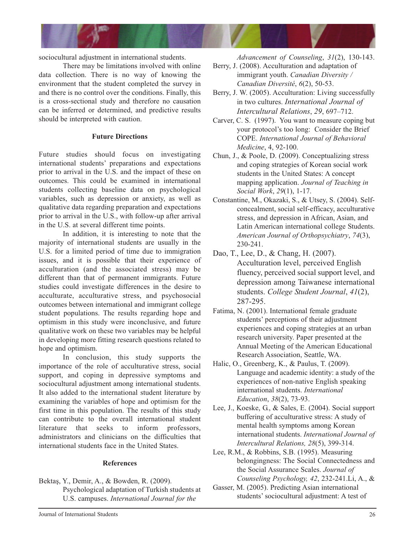

sociocultural adjustment in international students.

There may be limitations involved with online data collection. There is no way of knowing the environment that the student completed the survey in and there is no control over the conditions. Finally, this is a cross-sectional study and therefore no causation can be inferred or determined, and predictive results should be interpreted with caution.

## **Future Directions**

Future studies should focus on investigating international students' preparations and expectations prior to arrival in the U.S. and the impact of these on outcomes. This could be examined in international students collecting baseline data on psychological variables, such as depression or anxiety, as well as qualitative data regarding preparation and expectations prior to arrival in the U.S., with follow-up after arrival in the U.S. at several different time points.

In addition, it is interesting to note that the majority of international students are usually in the U.S. for a limited period of time due to immigration issues, and it is possible that their experience of acculturation (and the associated stress) may be different than that of permanent immigrants. Future studies could investigate differences in the desire to acculturate, acculturative stress, and psychosocial outcomes between international and immigrant college student populations. The results regarding hope and optimism in this study were inconclusive, and future qualitative work on these two variables may be helpful in developing more fitting research questions related to hope and optimism.

In conclusion, this study supports the importance of the role of acculturative stress, social support, and coping in depressive symptoms and sociocultural adjustment among international students. It also added to the international student literature by examining the variables of hope and optimism for the first time in this population. The results of this study can contribute to the overall international student literature that seeks to inform professors, administrators and clinicians on the difficulties that international students face in the United States.

#### **References**

Bektaş, Y., Demir, A., & Bowden, R. (2009). Psychological adaptation of Turkish students at U.S. campuses. *International Journal for the* 

*Advancement of Counseling*, *31*(2), 130-143.

- Berry, J. (2008). Acculturation and adaptation of immigrant youth. *Canadian Diversity / Canadian Diversité*, *6*(2), 50-53.
- Berry, J. W. (2005). Acculturation: Living successfully in two cultures. *International Journal of Intercultural Relations*, *29*, 697–712.
- Carver, C. S. (1997). You want to measure coping but your protocol's too long: Consider the Brief COPE. *International Journal of Behavioral Medicine*, 4, 92-100.
- Chun, J., & Poole, D. (2009). Conceptualizing stress and coping strategies of Korean social work students in the United States: A concept mapping application. *Journal of Teaching in Social Work*, *29*(1), 1-17.
- Constantine, M., Okazaki, S., & Utsey, S. (2004). Selfconcealment, social self-efficacy, acculturative stress, and depression in African, Asian, and Latin American international college Students. *American Journal of Orthopsychiatry*, *74*(3), 230-241.
- Dao, T., Lee, D., & Chang, H. (2007). Acculturation level, perceived English fluency, perceived social support level, and depression among Taiwanese international students. *College Student Journal*, *41*(2), 287-295.
- Fatima, N. (2001). International female graduate students' perceptions of their adjustment experiences and coping strategies at an urban research university. Paper presented at the Annual Meeting of the American Educational Research Association, Seattle, WA.
- Halic, O., Greenberg, K., & Paulus, T. (2009). Language and academic identity: a study of the experiences of non-native English speaking international students. *International Education*, *38*(2), 73-93.
- Lee, J., Koeske, G., & Sales, E. (2004). Social support buffering of acculturative stress: A study of mental health symptoms among Korean international students. *International Journal of Intercultural Relations, 28*(5), 399-314.
- Lee, R.M., & Robbins, S.B. (1995). Measuring belongingness: The Social Connectedness and the Social Assurance Scales. *Journal of Counseling Psychology, 42*, 232-241.Li, A., &
- Gasser, M. (2005). Predicting Asian international students' sociocultural adjustment: A test of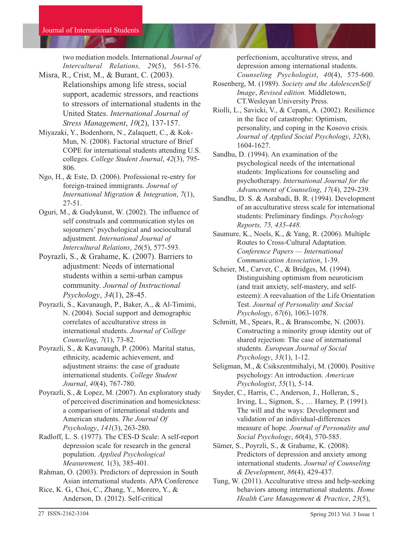two mediation models. International *Journal of Intercultural Relations, 29*(5), 561-576.

- Misra, R., Crist, M., & Burant, C. (2003). Relationships among life stress, social support, academic stressors, and reactions to stressors of international students in the United States. *International Journal of Stress Management*, *10*(2), 137-157.
- Miyazaki, Y., Bodenhorn, N., Zalaquett, C., & Kok-Mun, N. (2008). Factorial structure of Brief COPE for international students attending U.S. colleges. *College Student Journal*, *42*(3), 795- 806.
- Ngo, H., & Este, D. (2006). Professional re-entry for foreign-trained immigrants. *Journal of International Migration & Integration*, *7*(1), 27-51.
- Oguri, M., & Gudykunst, W. (2002). The influence of self construals and communication styles on sojourners' psychological and sociocultural adjustment. *International Journal of Intercultural Relations*, *26*(5), 577-593.
- Poyrazli, S., & Grahame, K. (2007). Barriers to adjustment: Needs of international students within a semi-urban campus community. *Journal of Instructional Psychology*, *34*(1), 28-45.
- Poyrazli, S., Kavanaugh, P., Baker, A., & Al-Timimi, N. (2004). Social support and demographic correlates of acculturative stress in international students. *Journal of College Counseling*, *7*(1), 73-82.
- Poyrazli, S., & Kavanaugh, P. (2006). Marital status, ethnicity, academic achievement, and adjustment strains: the case of graduate international students. *College Student Journal*, *40*(4), 767-780.
- Poyrazli, S., & Lopez, M. (2007). An exploratory study of perceived discrimination and homesickness: a comparison of international students and American students. *The Journal Of Psychology*, *141*(3), 263-280.
- Radloff, L. S. (1977). The CES-D Scale: A self-report depression scale for research in the general population. *Applied Psychological Measurement,* 1(3), 385-401.
- Rahman, O. (2003). Predictors of depression in South Asian international students. APA Conference
- Rice, K. G., Choi, C., Zhang, Y., Morero, Y., & Anderson, D. (2012). Self-critical

perfectionism, acculturative stress, and depression among international students. *Counseling Psychologist*, *40*(4), 575-600.

- Rosenberg, M. (1989). *Society and the AdolescenSelf Image*, *Revised edition.* Middletown, CT.Wesleyan University Press.
- Riolli, L., Savicki, V., & Cepani, A. (2002). Resilience in the face of catastrophe: Optimism, personality, and coping in the Kosovo crisis. *Journal of Applied Social Psychology*, *32*(8), 1604-1627.
- Sandhu, D. (1994). An examination of the psychological needs of the international students: Implications for counseling and psychotherapy. *International Journal for the Advancement of Counseling*, *17*(4), 229-239.
- Sandhu, D. S. & Asrabadi, B. R. (1994). Development of an acculturative stress scale for international students: Preliminary findings. *Psychology Reports, 75, 435-448.*
- Saumure, K., Noels, K., & Yang, R. (2006). Multiple Routes to Cross-Cultural Adaptation. *Conference Papers — International Communication Association*, 1-39.
- Scheier, M., Carver, C., & Bridges, M. (1994). Distinguishing optimism from neuroticism (and trait anxiety, self-mastery, and selfesteem): A reevaluation of the Life Orientation Test. *Journal of Personality and Social Psychology*, *67*(6), 1063-1078.
- Schmitt, M., Spears, R., & Branscombe, N. (2003). Constructing a minority group identity out of shared rejection: The case of international students. *European Journal of Social Psychology*, *33*(1), 1-12.
- Seligman, M., & Csikszentmihalyi, M. (2000). Positive psychology: An introduction. *American Psychologist*, *55*(1), 5-14.
- Snyder, C., Harris, C., Anderson, J., Holleran, S., Irving, L., Sigmon, S., … Harney, P. (1991). The will and the ways: Development and validation of an individual-differences measure of hope. *Journal of Personality and Social Psychology*, *60*(4), 570-585.
- Sümer, S., Poyrzli, S., & Grahame, K. (2008). Predictors of depression and anxiety among international students. *Journal of Counseling & Development*, *86*(4), 429-437.
- Tung, W. (2011). Acculturative stress and help-seeking behaviors among international students. *Home Health Care Management & Practice*, *23*(5),